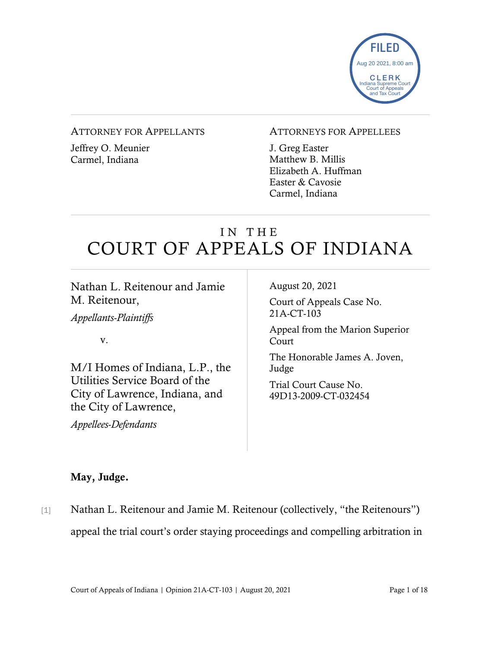

#### ATTORNEY FOR APPELLANTS

Jeffrey O. Meunier Carmel, Indiana

#### ATTORNEYS FOR APPELLEES

J. Greg Easter Matthew B. Millis Elizabeth A. Huffman Easter & Cavosie Carmel, Indiana

# IN THE COURT OF APPEALS OF INDIANA

Nathan L. Reitenour and Jamie M. Reitenour,

*Appellants-Plaintiffs*

v.

M/I Homes of Indiana, L.P., the Utilities Service Board of the City of Lawrence, Indiana, and the City of Lawrence,

*Appellees-Defendants*

August 20, 2021

Court of Appeals Case No. 21A-CT-103

Appeal from the Marion Superior Court

The Honorable James A. Joven, Judge

Trial Court Cause No. 49D13-2009-CT-032454

#### May, Judge.

[1] Nathan L. Reitenour and Jamie M. Reitenour (collectively, "the Reitenours") appeal the trial court's order staying proceedings and compelling arbitration in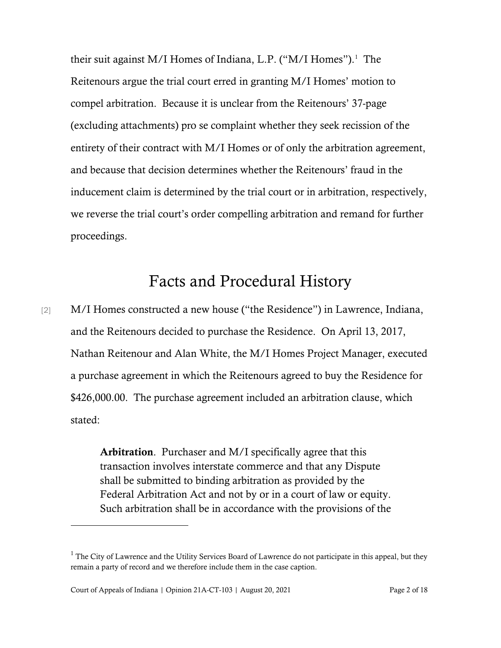their suit against M/I Homes of Indiana, L.P. ("M/I Homes").<sup>[1](#page-1-0)</sup> The Reitenours argue the trial court erred in granting M/I Homes' motion to compel arbitration. Because it is unclear from the Reitenours' 37-page (excluding attachments) pro se complaint whether they seek recission of the entirety of their contract with M/I Homes or of only the arbitration agreement, and because that decision determines whether the Reitenours' fraud in the inducement claim is determined by the trial court or in arbitration, respectively, we reverse the trial court's order compelling arbitration and remand for further proceedings.

## Facts and Procedural History

[2] M/I Homes constructed a new house ("the Residence") in Lawrence, Indiana, and the Reitenours decided to purchase the Residence. On April 13, 2017, Nathan Reitenour and Alan White, the M/I Homes Project Manager, executed a purchase agreement in which the Reitenours agreed to buy the Residence for \$426,000.00. The purchase agreement included an arbitration clause, which stated:

> Arbitration. Purchaser and M/I specifically agree that this transaction involves interstate commerce and that any Dispute shall be submitted to binding arbitration as provided by the Federal Arbitration Act and not by or in a court of law or equity. Such arbitration shall be in accordance with the provisions of the

<span id="page-1-0"></span><sup>&</sup>lt;sup>1</sup> The City of Lawrence and the Utility Services Board of Lawrence do not participate in this appeal, but they remain a party of record and we therefore include them in the case caption.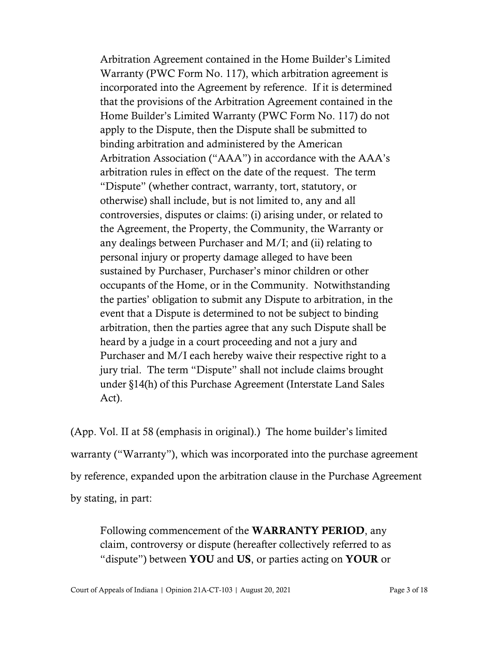Arbitration Agreement contained in the Home Builder's Limited Warranty (PWC Form No. 117), which arbitration agreement is incorporated into the Agreement by reference. If it is determined that the provisions of the Arbitration Agreement contained in the Home Builder's Limited Warranty (PWC Form No. 117) do not apply to the Dispute, then the Dispute shall be submitted to binding arbitration and administered by the American Arbitration Association ("AAA") in accordance with the AAA's arbitration rules in effect on the date of the request. The term "Dispute" (whether contract, warranty, tort, statutory, or otherwise) shall include, but is not limited to, any and all controversies, disputes or claims: (i) arising under, or related to the Agreement, the Property, the Community, the Warranty or any dealings between Purchaser and M/I; and (ii) relating to personal injury or property damage alleged to have been sustained by Purchaser, Purchaser's minor children or other occupants of the Home, or in the Community. Notwithstanding the parties' obligation to submit any Dispute to arbitration, in the event that a Dispute is determined to not be subject to binding arbitration, then the parties agree that any such Dispute shall be heard by a judge in a court proceeding and not a jury and Purchaser and M/I each hereby waive their respective right to a jury trial. The term "Dispute" shall not include claims brought under §14(h) of this Purchase Agreement (Interstate Land Sales Act).

(App. Vol. II at 58 (emphasis in original).) The home builder's limited warranty ("Warranty"), which was incorporated into the purchase agreement by reference, expanded upon the arbitration clause in the Purchase Agreement by stating, in part:

Following commencement of the WARRANTY PERIOD, any claim, controversy or dispute (hereafter collectively referred to as "dispute") between YOU and US, or parties acting on YOUR or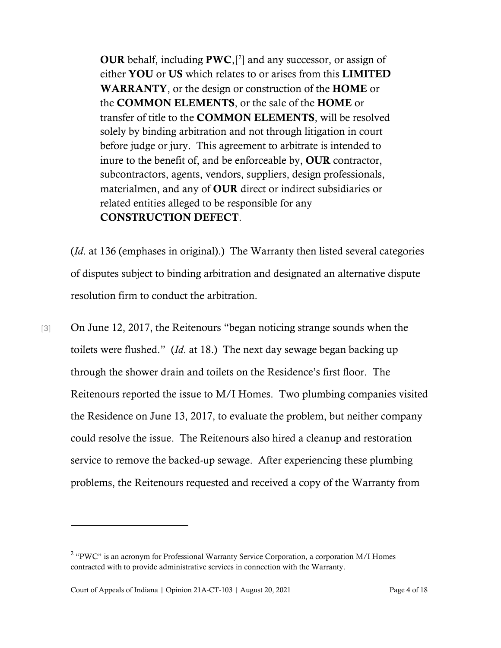OUR behalf, including  $PWC$ , $[2]$  $[2]$  $[2]$  and any successor, or assign of either YOU or US which relates to or arises from this LIMITED WARRANTY, or the design or construction of the HOME or the COMMON ELEMENTS, or the sale of the HOME or transfer of title to the COMMON ELEMENTS, will be resolved solely by binding arbitration and not through litigation in court before judge or jury. This agreement to arbitrate is intended to inure to the benefit of, and be enforceable by, OUR contractor, subcontractors, agents, vendors, suppliers, design professionals, materialmen, and any of OUR direct or indirect subsidiaries or related entities alleged to be responsible for any CONSTRUCTION DEFECT.

(*Id*. at 136 (emphases in original).) The Warranty then listed several categories of disputes subject to binding arbitration and designated an alternative dispute resolution firm to conduct the arbitration.

[3] On June 12, 2017, the Reitenours "began noticing strange sounds when the toilets were flushed." (*Id*. at 18.) The next day sewage began backing up through the shower drain and toilets on the Residence's first floor. The Reitenours reported the issue to M/I Homes. Two plumbing companies visited the Residence on June 13, 2017, to evaluate the problem, but neither company could resolve the issue. The Reitenours also hired a cleanup and restoration service to remove the backed-up sewage. After experiencing these plumbing problems, the Reitenours requested and received a copy of the Warranty from

<span id="page-3-0"></span> $2$  "PWC" is an acronym for Professional Warranty Service Corporation, a corporation M/I Homes contracted with to provide administrative services in connection with the Warranty.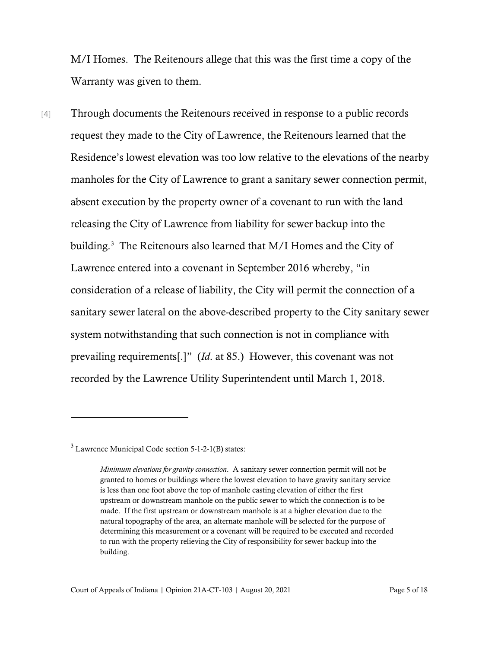M/I Homes. The Reitenours allege that this was the first time a copy of the Warranty was given to them.

[4] Through documents the Reitenours received in response to a public records request they made to the City of Lawrence, the Reitenours learned that the Residence's lowest elevation was too low relative to the elevations of the nearby manholes for the City of Lawrence to grant a sanitary sewer connection permit, absent execution by the property owner of a covenant to run with the land releasing the City of Lawrence from liability for sewer backup into the building. [3](#page-4-0) The Reitenours also learned that M/I Homes and the City of Lawrence entered into a covenant in September 2016 whereby, "in consideration of a release of liability, the City will permit the connection of a sanitary sewer lateral on the above-described property to the City sanitary sewer system notwithstanding that such connection is not in compliance with prevailing requirements[.]" (*Id*. at 85.) However, this covenant was not recorded by the Lawrence Utility Superintendent until March 1, 2018.

<span id="page-4-0"></span> $3$  Lawrence Municipal Code section 5-1-2-1(B) states:

*Minimum elevations for gravity connection*. A sanitary sewer connection permit will not be granted to homes or buildings where the lowest elevation to have gravity sanitary service is less than one foot above the top of manhole casting elevation of either the first upstream or downstream manhole on the public sewer to which the connection is to be made. If the first upstream or downstream manhole is at a higher elevation due to the natural topography of the area, an alternate manhole will be selected for the purpose of determining this measurement or a covenant will be required to be executed and recorded to run with the property relieving the City of responsibility for sewer backup into the building.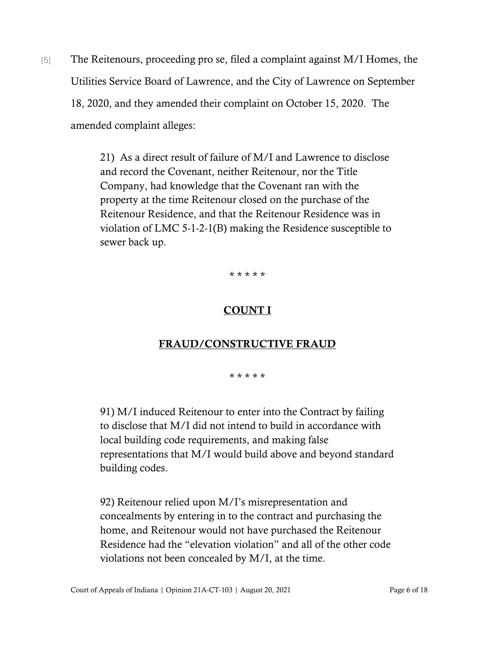[5] The Reitenours, proceeding pro se, filed a complaint against M/I Homes, the Utilities Service Board of Lawrence, and the City of Lawrence on September 18, 2020, and they amended their complaint on October 15, 2020. The amended complaint alleges:

> 21) As a direct result of failure of M/I and Lawrence to disclose and record the Covenant, neither Reitenour, nor the Title Company, had knowledge that the Covenant ran with the property at the time Reitenour closed on the purchase of the Reitenour Residence, and that the Reitenour Residence was in violation of LMC 5-1-2-1(B) making the Residence susceptible to sewer back up.

> > \* \* \* \* \*

### COUNT I

#### FRAUD/CONSTRUCTIVE FRAUD

\* \* \* \* \*

91) M/I induced Reitenour to enter into the Contract by failing to disclose that M/I did not intend to build in accordance with local building code requirements, and making false representations that M/I would build above and beyond standard building codes.

92) Reitenour relied upon M/I's misrepresentation and concealments by entering in to the contract and purchasing the home, and Reitenour would not have purchased the Reitenour Residence had the "elevation violation" and all of the other code violations not been concealed by M/I, at the time.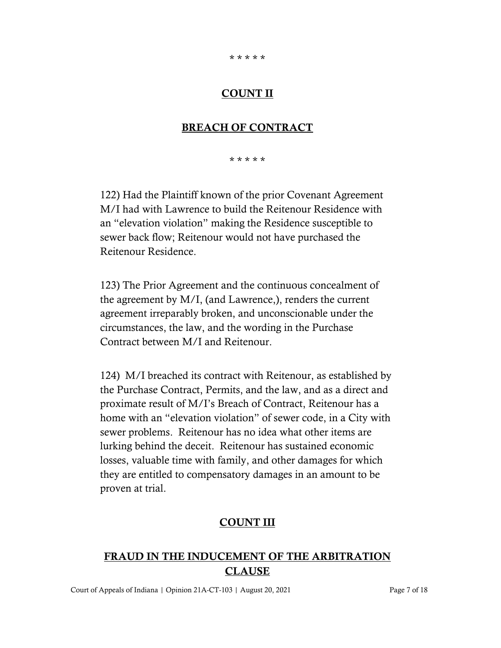#### \* \* \* \* \*

#### COUNT II

#### BREACH OF CONTRACT

\* \* \* \* \*

122) Had the Plaintiff known of the prior Covenant Agreement M/I had with Lawrence to build the Reitenour Residence with an "elevation violation" making the Residence susceptible to sewer back flow; Reitenour would not have purchased the Reitenour Residence.

123) The Prior Agreement and the continuous concealment of the agreement by M/I, (and Lawrence,), renders the current agreement irreparably broken, and unconscionable under the circumstances, the law, and the wording in the Purchase Contract between M/I and Reitenour.

124) M/I breached its contract with Reitenour, as established by the Purchase Contract, Permits, and the law, and as a direct and proximate result of M/I's Breach of Contract, Reitenour has a home with an "elevation violation" of sewer code, in a City with sewer problems. Reitenour has no idea what other items are lurking behind the deceit. Reitenour has sustained economic losses, valuable time with family, and other damages for which they are entitled to compensatory damages in an amount to be proven at trial.

## COUNT III

## FRAUD IN THE INDUCEMENT OF THE ARBITRATION CLAUSE

Court of Appeals of Indiana | Opinion 21A-CT-103 | August 20, 2021 Page 7 of 18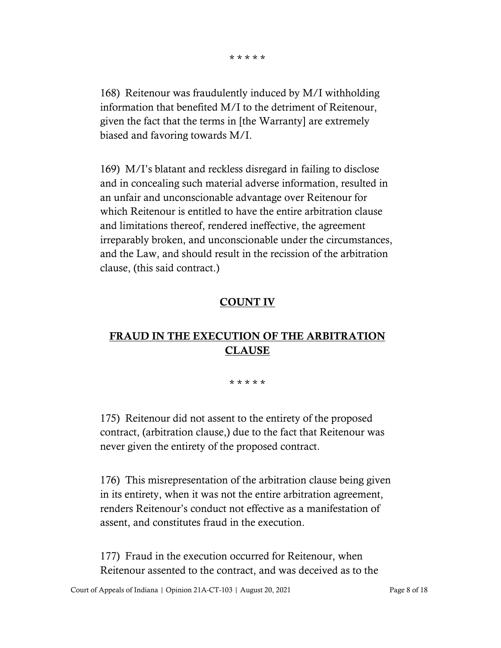\* \* \* \* \*

168) Reitenour was fraudulently induced by M/I withholding information that benefited M/I to the detriment of Reitenour, given the fact that the terms in [the Warranty] are extremely biased and favoring towards M/I.

169) M/I's blatant and reckless disregard in failing to disclose and in concealing such material adverse information, resulted in an unfair and unconscionable advantage over Reitenour for which Reitenour is entitled to have the entire arbitration clause and limitations thereof, rendered ineffective, the agreement irreparably broken, and unconscionable under the circumstances, and the Law, and should result in the recission of the arbitration clause, (this said contract.)

#### COUNT IV

## FRAUD IN THE EXECUTION OF THE ARBITRATION CLAUSE

#### \* \* \* \* \*

175) Reitenour did not assent to the entirety of the proposed contract, (arbitration clause,) due to the fact that Reitenour was never given the entirety of the proposed contract.

176) This misrepresentation of the arbitration clause being given in its entirety, when it was not the entire arbitration agreement, renders Reitenour's conduct not effective as a manifestation of assent, and constitutes fraud in the execution.

177) Fraud in the execution occurred for Reitenour, when Reitenour assented to the contract, and was deceived as to the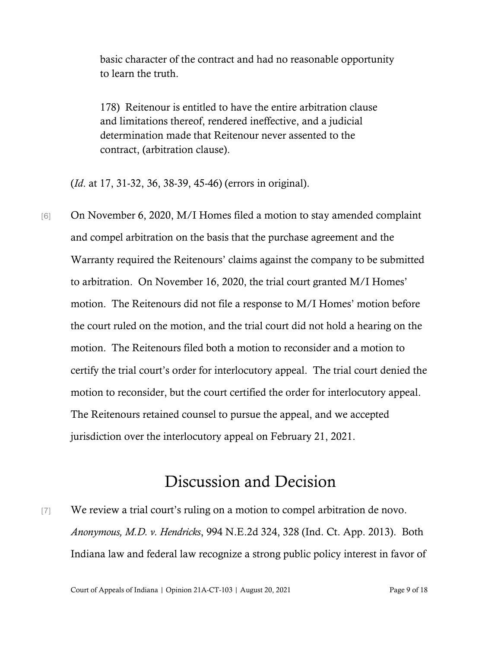basic character of the contract and had no reasonable opportunity to learn the truth.

178) Reitenour is entitled to have the entire arbitration clause and limitations thereof, rendered ineffective, and a judicial determination made that Reitenour never assented to the contract, (arbitration clause).

(*Id*. at 17, 31-32, 36, 38-39, 45-46) (errors in original).

[6] On November 6, 2020, M/I Homes filed a motion to stay amended complaint and compel arbitration on the basis that the purchase agreement and the Warranty required the Reitenours' claims against the company to be submitted to arbitration. On November 16, 2020, the trial court granted M/I Homes' motion. The Reitenours did not file a response to M/I Homes' motion before the court ruled on the motion, and the trial court did not hold a hearing on the motion. The Reitenours filed both a motion to reconsider and a motion to certify the trial court's order for interlocutory appeal. The trial court denied the motion to reconsider, but the court certified the order for interlocutory appeal. The Reitenours retained counsel to pursue the appeal, and we accepted jurisdiction over the interlocutory appeal on February 21, 2021.

# Discussion and Decision

[7] We review a trial court's ruling on a motion to compel arbitration de novo. *Anonymous, M.D. v. Hendricks*, 994 N.E.2d 324, 328 (Ind. Ct. App. 2013). Both Indiana law and federal law recognize a strong public policy interest in favor of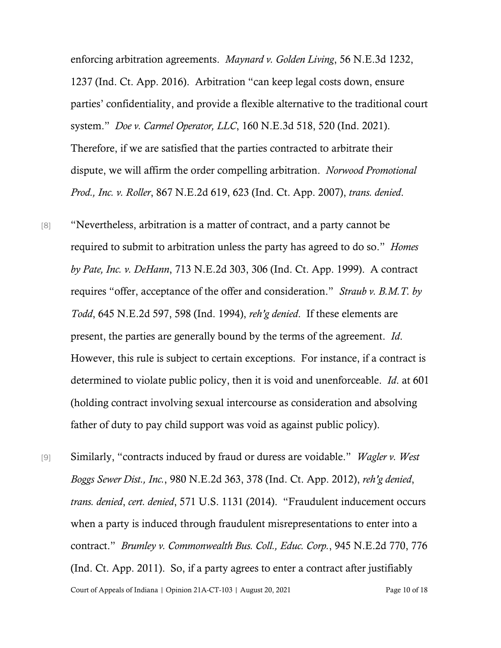enforcing arbitration agreements. *Maynard v. Golden Living*, 56 N.E.3d 1232, 1237 (Ind. Ct. App. 2016). Arbitration "can keep legal costs down, ensure parties' confidentiality, and provide a flexible alternative to the traditional court system." *Doe v. Carmel Operator, LLC*, 160 N.E.3d 518, 520 (Ind. 2021). Therefore, if we are satisfied that the parties contracted to arbitrate their dispute, we will affirm the order compelling arbitration. *Norwood Promotional Prod., Inc. v. Roller*, 867 N.E.2d 619, 623 (Ind. Ct. App. 2007), *trans. denied*.

[8] "Nevertheless, arbitration is a matter of contract, and a party cannot be required to submit to arbitration unless the party has agreed to do so." *Homes by Pate, Inc. v. DeHann*, 713 N.E.2d 303, 306 (Ind. Ct. App. 1999). A contract requires "offer, acceptance of the offer and consideration." *Straub v. B.M.T. by Todd*, 645 N.E.2d 597, 598 (Ind. 1994), *reh'g denied*. If these elements are present, the parties are generally bound by the terms of the agreement. *Id*. However, this rule is subject to certain exceptions. For instance, if a contract is determined to violate public policy, then it is void and unenforceable. *Id*. at 601 (holding contract involving sexual intercourse as consideration and absolving father of duty to pay child support was void as against public policy).

Court of Appeals of Indiana | Opinion 21A-CT-103 | August 20, 2021 Page 10 of 18 [9] Similarly, "contracts induced by fraud or duress are voidable." *Wagler v. West Boggs Sewer Dist., Inc.*, 980 N.E.2d 363, 378 (Ind. Ct. App. 2012), *reh'g denied*, *trans. denied*, *cert. denied*, 571 U.S. 1131 (2014). "Fraudulent inducement occurs when a party is induced through fraudulent misrepresentations to enter into a contract." *Brumley v. Commonwealth Bus. Coll., Educ. Corp.*, 945 N.E.2d 770, 776 (Ind. Ct. App. 2011). So, if a party agrees to enter a contract after justifiably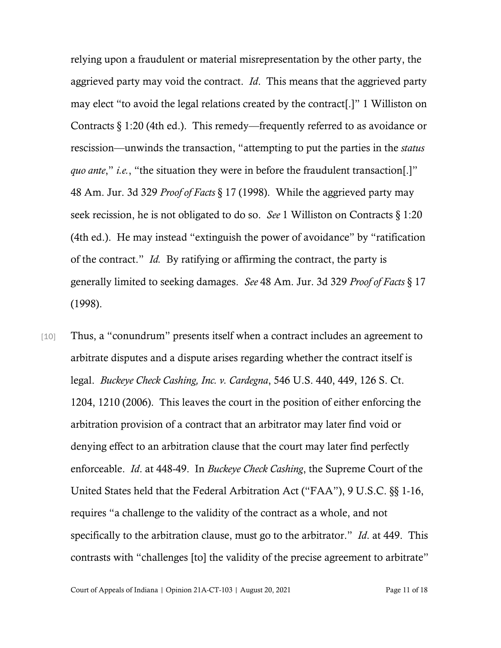relying upon a fraudulent or material misrepresentation by the other party, the aggrieved party may void the contract. *Id*. This means that the aggrieved party may elect "to avoid the legal relations created by the contract[.]" 1 Williston on Contracts § 1:20 (4th ed.). This remedy—frequently referred to as avoidance or rescission—unwinds the transaction, "attempting to put the parties in the *status quo ante*," *i.e.*, "the situation they were in before the fraudulent transaction[.]" 48 Am. Jur. 3d 329 *Proof of Facts* § 17 (1998). While the aggrieved party may seek recission, he is not obligated to do so. *See* 1 Williston on Contracts § 1:20 (4th ed.). He may instead "extinguish the power of avoidance" by "ratification of the contract." *Id.* By ratifying or affirming the contract, the party is generally limited to seeking damages. *See* 48 Am. Jur. 3d 329 *Proof of Facts* § 17 (1998).

[10] Thus, a "conundrum" presents itself when a contract includes an agreement to arbitrate disputes and a dispute arises regarding whether the contract itself is legal. *Buckeye Check Cashing, Inc. v. Cardegna*, 546 U.S. 440, 449, 126 S. Ct. 1204, 1210 (2006). This leaves the court in the position of either enforcing the arbitration provision of a contract that an arbitrator may later find void or denying effect to an arbitration clause that the court may later find perfectly enforceable. *Id*. at 448-49. In *Buckeye Check Cashing*, the Supreme Court of the United States held that the Federal Arbitration Act ("FAA"), 9 U.S.C. §§ 1-16, requires "a challenge to the validity of the contract as a whole, and not specifically to the arbitration clause, must go to the arbitrator." *Id*. at 449. This contrasts with "challenges [to] the validity of the precise agreement to arbitrate"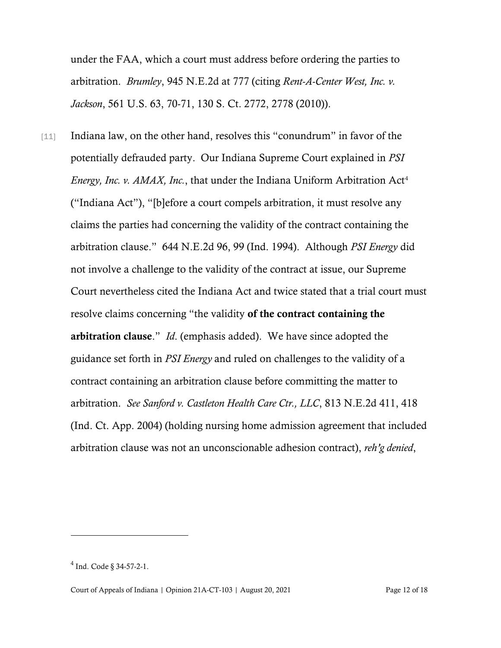under the FAA, which a court must address before ordering the parties to arbitration. *Brumley*, 945 N.E.2d at 777 (citing *Rent-A-Center West, Inc. v. Jackson*, 561 U.S. 63, 70-71, 130 S. Ct. 2772, 2778 (2010)).

[11] Indiana law, on the other hand, resolves this "conundrum" in favor of the potentially defrauded party. Our Indiana Supreme Court explained in *PSI Energy, Inc. v. AMAX, Inc., that under the Indiana Uniform Arbitration Act<sup>[4](#page-11-0)</sup>* ("Indiana Act"), "[b]efore a court compels arbitration, it must resolve any claims the parties had concerning the validity of the contract containing the arbitration clause." 644 N.E.2d 96, 99 (Ind. 1994). Although *PSI Energy* did not involve a challenge to the validity of the contract at issue, our Supreme Court nevertheless cited the Indiana Act and twice stated that a trial court must resolve claims concerning "the validity of the contract containing the arbitration clause." *Id*. (emphasis added). We have since adopted the guidance set forth in *PSI Energy* and ruled on challenges to the validity of a contract containing an arbitration clause before committing the matter to arbitration. *See Sanford v. Castleton Health Care Ctr., LLC*, 813 N.E.2d 411, 418 (Ind. Ct. App. 2004) (holding nursing home admission agreement that included arbitration clause was not an unconscionable adhesion contract), *reh'g denied*,

<span id="page-11-0"></span><sup>4</sup> Ind. Code § 34-57-2-1.

Court of Appeals of Indiana | Opinion 21A-CT-103 | August 20, 2021 Page 12 of 18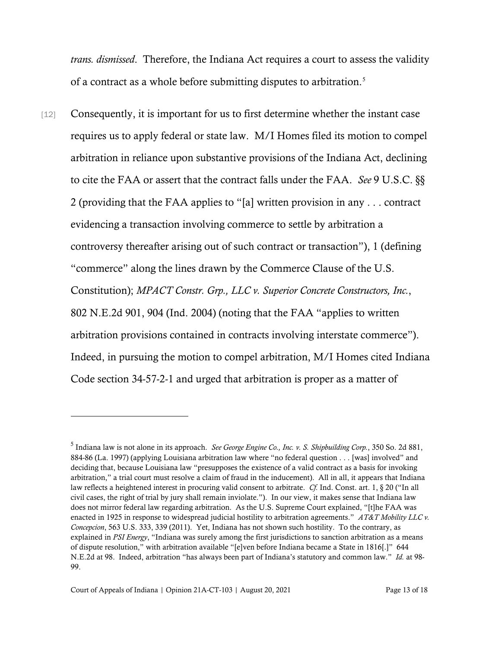*trans. dismissed*. Therefore, the Indiana Act requires a court to assess the validity of a contract as a whole before submitting disputes to arbitration.<sup>[5](#page-12-0)</sup>

[12] Consequently, it is important for us to first determine whether the instant case requires us to apply federal or state law. M/I Homes filed its motion to compel arbitration in reliance upon substantive provisions of the Indiana Act, declining to cite the FAA or assert that the contract falls under the FAA. *See* 9 U.S.C. §§ 2 (providing that the FAA applies to "[a] written provision in any . . . contract evidencing a transaction involving commerce to settle by arbitration a controversy thereafter arising out of such contract or transaction"), 1 (defining "commerce" along the lines drawn by the Commerce Clause of the U.S. Constitution); *MPACT Constr. Grp., LLC v. Superior Concrete Constructors, Inc.*, 802 N.E.2d 901, 904 (Ind. 2004) (noting that the FAA "applies to written arbitration provisions contained in contracts involving interstate commerce"). Indeed, in pursuing the motion to compel arbitration, M/I Homes cited Indiana Code section 34-57-2-1 and urged that arbitration is proper as a matter of

<span id="page-12-0"></span><sup>5</sup> Indiana law is not alone in its approach. *See George Engine Co., Inc. v. S. Shipbuilding Corp.*, 350 So. 2d 881, 884-86 (La. 1997) (applying Louisiana arbitration law where "no federal question . . . [was] involved" and deciding that, because Louisiana law "presupposes the existence of a valid contract as a basis for invoking arbitration," a trial court must resolve a claim of fraud in the inducement). All in all, it appears that Indiana law reflects a heightened interest in procuring valid consent to arbitrate. *Cf.* Ind. Const. art. 1, § 20 ("In all civil cases, the right of trial by jury shall remain inviolate."). In our view, it makes sense that Indiana law does not mirror federal law regarding arbitration. As the U.S. Supreme Court explained, "[t]he FAA was enacted in 1925 in response to widespread judicial hostility to arbitration agreements." *AT&T Mobility LLC v. Concepcion*, 563 U.S. 333, 339 (2011). Yet, Indiana has not shown such hostility. To the contrary, as explained in *PSI Energy*, "Indiana was surely among the first jurisdictions to sanction arbitration as a means of dispute resolution," with arbitration available "[e]ven before Indiana became a State in 1816[.]" 644 N.E.2d at 98. Indeed, arbitration "has always been part of Indiana's statutory and common law." *Id.* at 98- 99.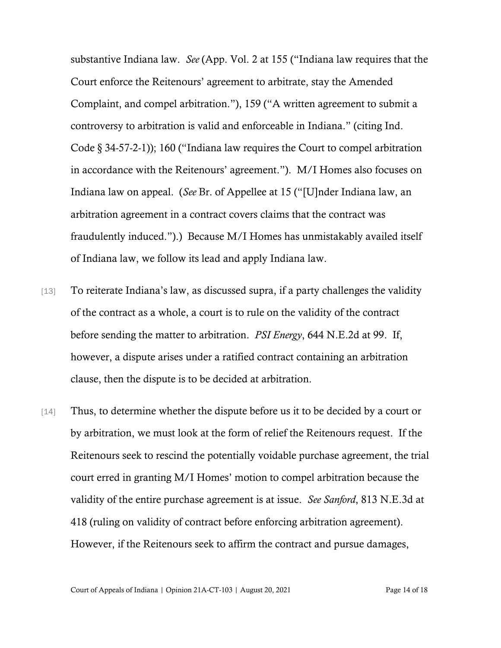substantive Indiana law. *See* (App. Vol. 2 at 155 ("Indiana law requires that the Court enforce the Reitenours' agreement to arbitrate, stay the Amended Complaint, and compel arbitration."), 159 ("A written agreement to submit a controversy to arbitration is valid and enforceable in Indiana." (citing Ind. Code § 34-57-2-1)); 160 ("Indiana law requires the Court to compel arbitration in accordance with the Reitenours' agreement."). M/I Homes also focuses on Indiana law on appeal. (*See* Br. of Appellee at 15 ("[U]nder Indiana law, an arbitration agreement in a contract covers claims that the contract was fraudulently induced.").) Because M/I Homes has unmistakably availed itself of Indiana law, we follow its lead and apply Indiana law.

- [13] To reiterate Indiana's law, as discussed supra, if a party challenges the validity of the contract as a whole, a court is to rule on the validity of the contract before sending the matter to arbitration. *PSI Energy*, 644 N.E.2d at 99. If, however, a dispute arises under a ratified contract containing an arbitration clause, then the dispute is to be decided at arbitration.
- [14] Thus, to determine whether the dispute before us it to be decided by a court or by arbitration, we must look at the form of relief the Reitenours request. If the Reitenours seek to rescind the potentially voidable purchase agreement, the trial court erred in granting M/I Homes' motion to compel arbitration because the validity of the entire purchase agreement is at issue. *See Sanford*, 813 N.E.3d at 418 (ruling on validity of contract before enforcing arbitration agreement). However, if the Reitenours seek to affirm the contract and pursue damages,

Court of Appeals of Indiana | Opinion 21A-CT-103 | August 20, 2021 Page 14 of 18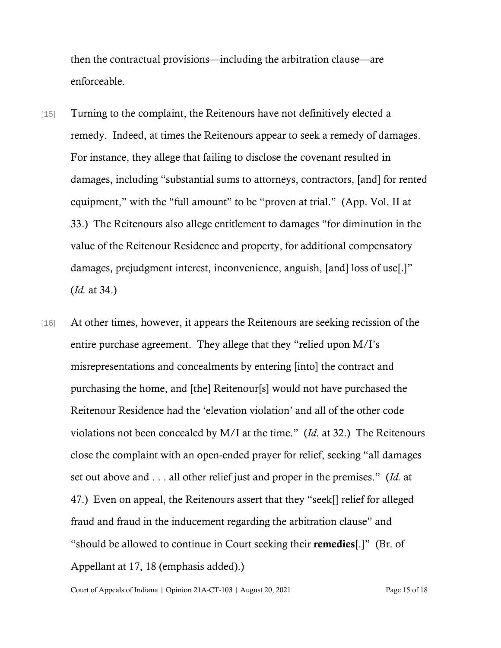then the contractual provisions—including the arbitration clause—are enforceable.

- [15] Turning to the complaint, the Reitenours have not definitively elected a remedy. Indeed, at times the Reitenours appear to seek a remedy of damages. For instance, they allege that failing to disclose the covenant resulted in damages, including "substantial sums to attorneys, contractors, [and] for rented equipment," with the "full amount" to be "proven at trial." (App. Vol. II at 33.) The Reitenours also allege entitlement to damages "for diminution in the value of the Reitenour Residence and property, for additional compensatory damages, prejudgment interest, inconvenience, anguish, [and] loss of use[.]" (*Id.* at 34.)
- [16] At other times, however, it appears the Reitenours are seeking recission of the entire purchase agreement. They allege that they "relied upon M/I's misrepresentations and concealments by entering [into] the contract and purchasing the home, and [the] Reitenour[s] would not have purchased the Reitenour Residence had the 'elevation violation' and all of the other code violations not been concealed by M/I at the time." (*Id*. at 32.) The Reitenours close the complaint with an open-ended prayer for relief, seeking "all damages set out above and . . . all other relief just and proper in the premises." (*Id.* at 47.) Even on appeal, the Reitenours assert that they "seek[] relief for alleged fraud and fraud in the inducement regarding the arbitration clause" and "should be allowed to continue in Court seeking their remedies[.]" (Br. of Appellant at 17, 18 (emphasis added).)

Court of Appeals of Indiana | Opinion 21A-CT-103 | August 20, 2021 Page 15 of 18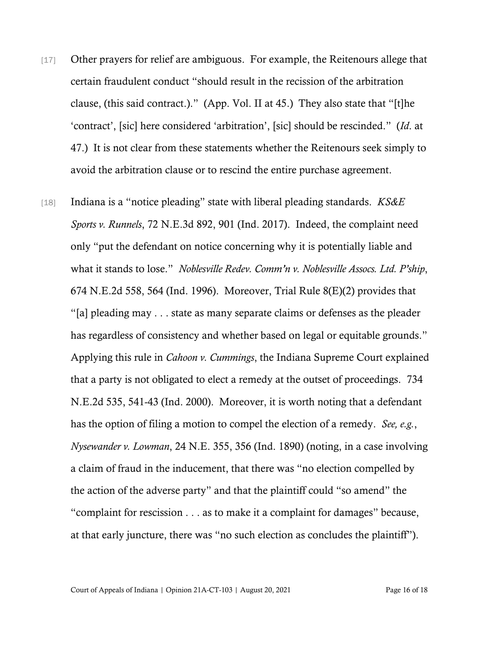- [17] Other prayers for relief are ambiguous. For example, the Reitenours allege that certain fraudulent conduct "should result in the recission of the arbitration clause, (this said contract.)." (App. Vol. II at 45.) They also state that "[t]he 'contract', [sic] here considered 'arbitration', [sic] should be rescinded." (*Id*. at 47.) It is not clear from these statements whether the Reitenours seek simply to avoid the arbitration clause or to rescind the entire purchase agreement.
- [18] Indiana is a "notice pleading" state with liberal pleading standards. *KS&E Sports v. Runnels*, 72 N.E.3d 892, 901 (Ind. 2017). Indeed, the complaint need only "put the defendant on notice concerning why it is potentially liable and what it stands to lose." *Noblesville Redev. Comm'n v. Noblesville Assocs. Ltd. P'ship*, 674 N.E.2d 558, 564 (Ind. 1996). Moreover, Trial Rule 8(E)(2) provides that "[a] pleading may . . . state as many separate claims or defenses as the pleader has regardless of consistency and whether based on legal or equitable grounds." Applying this rule in *Cahoon v. Cummings*, the Indiana Supreme Court explained that a party is not obligated to elect a remedy at the outset of proceedings. 734 N.E.2d 535, 541-43 (Ind. 2000). Moreover, it is worth noting that a defendant has the option of filing a motion to compel the election of a remedy. *See, e.g.*, *Nysewander v. Lowman*, 24 N.E. 355, 356 (Ind. 1890) (noting, in a case involving a claim of fraud in the inducement, that there was "no election compelled by the action of the adverse party" and that the plaintiff could "so amend" the "complaint for rescission . . . as to make it a complaint for damages" because, at that early juncture, there was "no such election as concludes the plaintiff").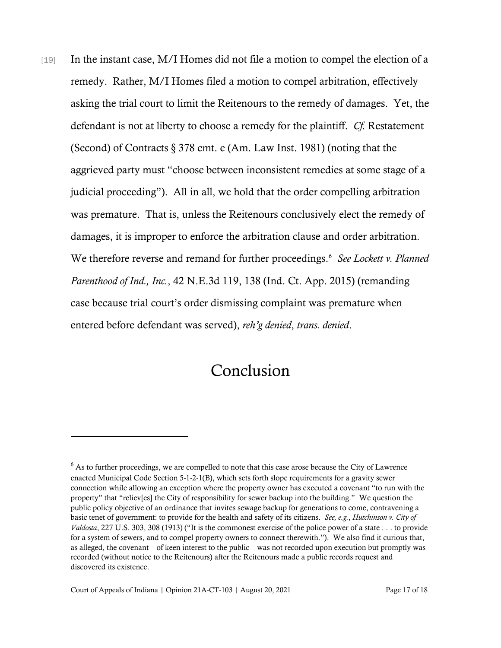[19] In the instant case, M/I Homes did not file a motion to compel the election of a remedy. Rather, M/I Homes filed a motion to compel arbitration, effectively asking the trial court to limit the Reitenours to the remedy of damages. Yet, the defendant is not at liberty to choose a remedy for the plaintiff. *Cf.* Restatement (Second) of Contracts § 378 cmt. e (Am. Law Inst. 1981) (noting that the aggrieved party must "choose between inconsistent remedies at some stage of a judicial proceeding"). All in all, we hold that the order compelling arbitration was premature. That is, unless the Reitenours conclusively elect the remedy of damages, it is improper to enforce the arbitration clause and order arbitration. We therefore reverse and remand for further proceedings.<sup>[6](#page-16-0)</sup> See Lockett v. Planned *Parenthood of Ind., Inc.*, 42 N.E.3d 119, 138 (Ind. Ct. App. 2015) (remanding case because trial court's order dismissing complaint was premature when entered before defendant was served), *reh'g denied*, *trans. denied*.

## Conclusion

<span id="page-16-0"></span><sup>&</sup>lt;sup>6</sup> As to further proceedings, we are compelled to note that this case arose because the City of Lawrence enacted Municipal Code Section 5-1-2-1(B), which sets forth slope requirements for a gravity sewer connection while allowing an exception where the property owner has executed a covenant "to run with the property" that "reliev[es] the City of responsibility for sewer backup into the building." We question the public policy objective of an ordinance that invites sewage backup for generations to come, contravening a basic tenet of government: to provide for the health and safety of its citizens. *See, e.g.*, *Hutchinson v. City of Valdosta*, 227 U.S. 303, 308 (1913) ("It is the commonest exercise of the police power of a state . . . to provide for a system of sewers, and to compel property owners to connect therewith."). We also find it curious that, as alleged, the covenant—of keen interest to the public—was not recorded upon execution but promptly was recorded (without notice to the Reitenours) after the Reitenours made a public records request and discovered its existence.